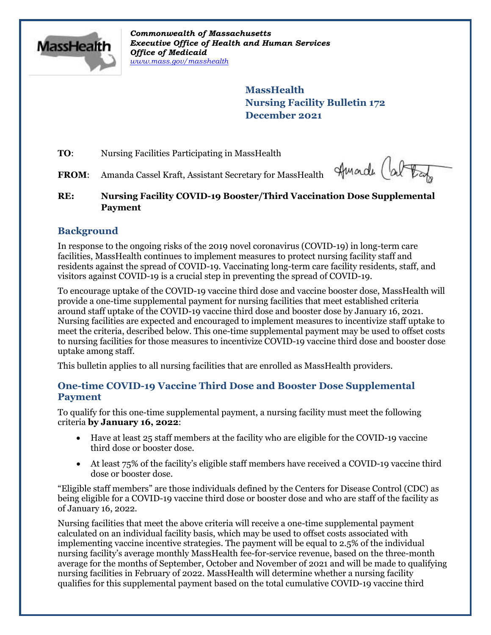

*Commonwealth of Massachusetts Executive Office of Health and Human Services Office of Medicaid [www.mass.gov/masshealth](http://www.mass.gov/masshealth)*

> **MassHealth Nursing Facility Bulletin 172 December 2021**

**TO:** Nursing Facilities Participating in MassHealth

**FROM**: Amanda Cassel Kraft, Assistant Secretary for MassHealth

Amade (about

# **RE: Nursing Facility COVID-19 Booster/Third Vaccination Dose Supplemental Payment**

# **Background**

In response to the ongoing risks of the 2019 novel coronavirus (COVID-19) in long-term care facilities, MassHealth continues to implement measures to protect nursing facility staff and residents against the spread of COVID-19. Vaccinating long-term care facility residents, staff, and visitors against COVID-19 is a crucial step in preventing the spread of COVID-19.

To encourage uptake of the COVID-19 vaccine third dose and vaccine booster dose, MassHealth will provide a one-time supplemental payment for nursing facilities that meet established criteria around staff uptake of the COVID-19 vaccine third dose and booster dose by January 16, 2021. Nursing facilities are expected and encouraged to implement measures to incentivize staff uptake to meet the criteria, described below. This one-time supplemental payment may be used to offset costs to nursing facilities for those measures to incentivize COVID-19 vaccine third dose and booster dose uptake among staff.

This bulletin applies to all nursing facilities that are enrolled as MassHealth providers.

# **One-time COVID-19 Vaccine Third Dose and Booster Dose Supplemental Payment**

To qualify for this one-time supplemental payment, a nursing facility must meet the following criteria **by January 16, 2022**:

- Have at least 25 staff members at the facility who are eligible for the COVID-19 vaccine third dose or booster dose.
- At least 75% of the facility's eligible staff members have received a COVID-19 vaccine third dose or booster dose.

"Eligible staff members" are those individuals defined by the Centers for Disease Control (CDC) as being eligible for a COVID-19 vaccine third dose or booster dose and who are staff of the facility as of January 16, 2022.

Nursing facilities that meet the above criteria will receive a one-time supplemental payment calculated on an individual facility basis, which may be used to offset costs associated with implementing vaccine incentive strategies. The payment will be equal to 2.5% of the individual nursing facility's average monthly MassHealth fee-for-service revenue, based on the three-month average for the months of September, October and November of 2021 and will be made to qualifying nursing facilities in February of 2022. MassHealth will determine whether a nursing facility qualifies for this supplemental payment based on the total cumulative COVID-19 vaccine third